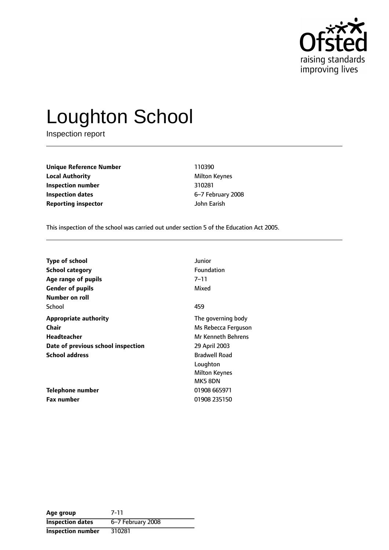

# Loughton School

Inspection report

**Unique Reference Number** 110390 **Local Authority** Milton Keynes **Inspection number** 310281 **Inspection dates** 6-7 February 2008 **Reporting inspector** John Earish

This inspection of the school was carried out under section 5 of the Education Act 2005.

| <b>Type of school</b>              | Junior               |
|------------------------------------|----------------------|
| <b>School category</b>             | <b>Foundation</b>    |
| Age range of pupils                | 7–11                 |
| <b>Gender of pupils</b>            | Mixed                |
| Number on roll                     |                      |
| School                             | 459                  |
| <b>Appropriate authority</b>       | The governing body   |
| Chair                              | Ms Rebecca Ferguson  |
| Headteacher                        | Mr Kenneth Behrens   |
| Date of previous school inspection | 29 April 2003        |
| <b>School address</b>              | <b>Bradwell Road</b> |
|                                    | Loughton             |
|                                    | <b>Milton Keynes</b> |
|                                    | MK58DN               |
| Telephone number                   | 01908 665971         |
| Fax number                         | 01908 235150         |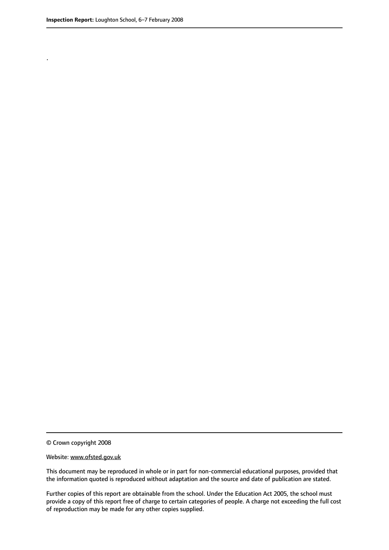.

© Crown copyright 2008

#### Website: www.ofsted.gov.uk

This document may be reproduced in whole or in part for non-commercial educational purposes, provided that the information quoted is reproduced without adaptation and the source and date of publication are stated.

Further copies of this report are obtainable from the school. Under the Education Act 2005, the school must provide a copy of this report free of charge to certain categories of people. A charge not exceeding the full cost of reproduction may be made for any other copies supplied.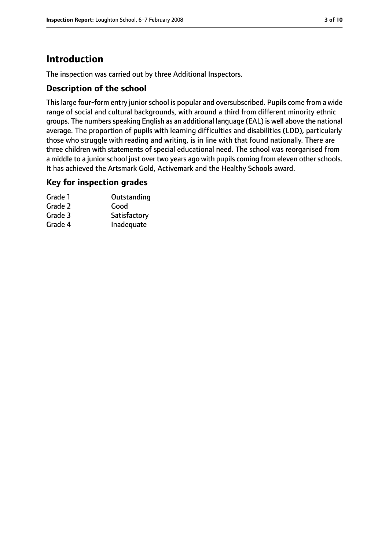# **Introduction**

The inspection was carried out by three Additional Inspectors.

## **Description of the school**

This large four-form entry junior school is popular and oversubscribed. Pupils come from a wide range of social and cultural backgrounds, with around a third from different minority ethnic groups. The numbers speaking English as an additional language (EAL) is well above the national average. The proportion of pupils with learning difficulties and disabilities (LDD), particularly those who struggle with reading and writing, is in line with that found nationally. There are three children with statements of special educational need. The school was reorganised from a middle to a junior school just over two years ago with pupils coming from eleven other schools. It has achieved the Artsmark Gold, Activemark and the Healthy Schools award.

#### **Key for inspection grades**

| Grade 1 | Outstanding  |
|---------|--------------|
| Grade 2 | Good         |
| Grade 3 | Satisfactory |
| Grade 4 | Inadequate   |
|         |              |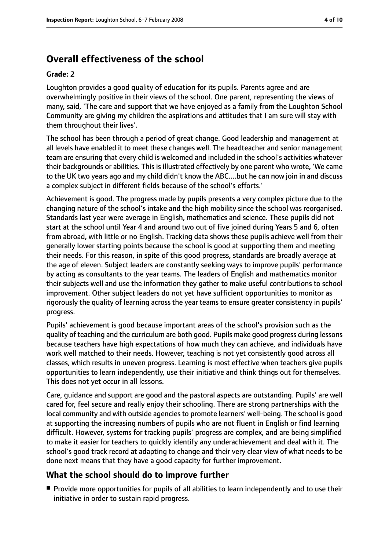# **Overall effectiveness of the school**

#### **Grade: 2**

Loughton provides a good quality of education for its pupils. Parents agree and are overwhelmingly positive in their views of the school. One parent, representing the views of many, said, 'The care and support that we have enjoyed as a family from the Loughton School Community are giving my children the aspirations and attitudes that I am sure will stay with them throughout their lives'.

The school has been through a period of great change. Good leadership and management at all levels have enabled it to meet these changes well. The headteacher and senior management team are ensuring that every child is welcomed and included in the school's activities whatever their backgrounds or abilities. This is illustrated effectively by one parent who wrote, 'We came to the UK two years ago and my child didn't know the ABC....but he can now join in and discuss a complex subject in different fields because of the school's efforts.'

Achievement is good. The progress made by pupils presents a very complex picture due to the changing nature of the school's intake and the high mobility since the school was reorganised. Standards last year were average in English, mathematics and science. These pupils did not start at the school until Year 4 and around two out of five joined during Years 5 and 6, often from abroad, with little or no English. Tracking data shows these pupils achieve well from their generally lower starting points because the school is good at supporting them and meeting their needs. For this reason, in spite of this good progress, standards are broadly average at the age of eleven. Subject leaders are constantly seeking ways to improve pupils' performance by acting as consultants to the year teams. The leaders of English and mathematics monitor their subjects well and use the information they gather to make useful contributions to school improvement. Other subject leaders do not yet have sufficient opportunities to monitor as rigorously the quality of learning across the year teams to ensure greater consistency in pupils' progress.

Pupils' achievement is good because important areas of the school's provision such as the quality of teaching and the curriculum are both good. Pupils make good progress during lessons because teachers have high expectations of how much they can achieve, and individuals have work well matched to their needs. However, teaching is not yet consistently good across all classes, which results in uneven progress. Learning is most effective when teachers give pupils opportunities to learn independently, use their initiative and think things out for themselves. This does not yet occur in all lessons.

Care, guidance and support are good and the pastoral aspects are outstanding. Pupils' are well cared for, feel secure and really enjoy their schooling. There are strong partnerships with the local community and with outside agencies to promote learners' well-being. The school is good at supporting the increasing numbers of pupils who are not fluent in English or find learning difficult. However, systems for tracking pupils' progress are complex, and are being simplified to make it easier for teachers to quickly identify any underachievement and deal with it. The school's good track record at adapting to change and their very clear view of what needs to be done next means that they have a good capacity for further improvement.

## **What the school should do to improve further**

■ Provide more opportunities for pupils of all abilities to learn independently and to use their initiative in order to sustain rapid progress.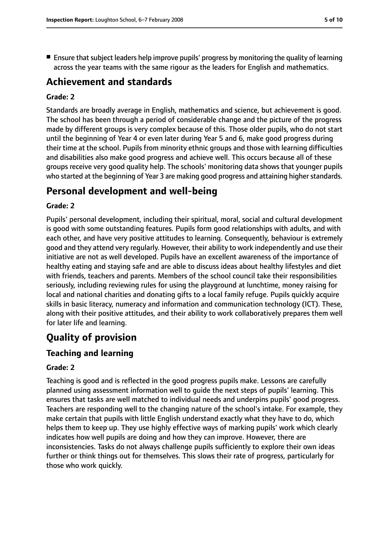$\blacksquare$  Ensure that subject leaders help improve pupils' progress by monitoring the quality of learning across the year teams with the same rigour as the leaders for English and mathematics.

## **Achievement and standards**

#### **Grade: 2**

Standards are broadly average in English, mathematics and science, but achievement is good. The school has been through a period of considerable change and the picture of the progress made by different groups is very complex because of this. Those older pupils, who do not start until the beginning of Year 4 or even later during Year 5 and 6, make good progress during their time at the school. Pupils from minority ethnic groups and those with learning difficulties and disabilities also make good progress and achieve well. This occurs because all of these groups receive very good quality help. The schools' monitoring data shows that younger pupils who started at the beginning of Year 3 are making good progress and attaining higher standards.

## **Personal development and well-being**

#### **Grade: 2**

Pupils' personal development, including their spiritual, moral, social and cultural development is good with some outstanding features. Pupils form good relationships with adults, and with each other, and have very positive attitudes to learning. Consequently, behaviour is extremely good and they attend very regularly. However, their ability to work independently and use their initiative are not as well developed. Pupils have an excellent awareness of the importance of healthy eating and staying safe and are able to discuss ideas about healthy lifestyles and diet with friends, teachers and parents. Members of the school council take their responsibilities seriously, including reviewing rules for using the playground at lunchtime, money raising for local and national charities and donating gifts to a local family refuge. Pupils quickly acquire skills in basic literacy, numeracy and information and communication technology (ICT). These, along with their positive attitudes, and their ability to work collaboratively prepares them well for later life and learning.

## **Quality of provision**

#### **Teaching and learning**

#### **Grade: 2**

Teaching is good and is reflected in the good progress pupils make. Lessons are carefully planned using assessment information well to guide the next steps of pupils' learning. This ensures that tasks are well matched to individual needs and underpins pupils' good progress. Teachers are responding well to the changing nature of the school's intake. For example, they make certain that pupils with little English understand exactly what they have to do, which helps them to keep up. They use highly effective ways of marking pupils' work which clearly indicates how well pupils are doing and how they can improve. However, there are inconsistencies. Tasks do not always challenge pupils sufficiently to explore their own ideas further or think things out for themselves. This slows their rate of progress, particularly for those who work quickly.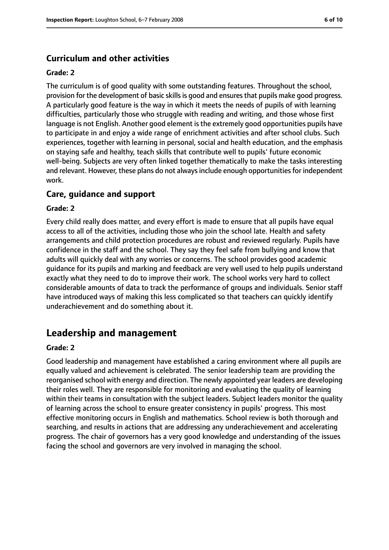## **Curriculum and other activities**

#### **Grade: 2**

The curriculum is of good quality with some outstanding features. Throughout the school, provision for the development of basic skillsis good and ensuresthat pupils make good progress. A particularly good feature is the way in which it meets the needs of pupils of with learning difficulties, particularly those who struggle with reading and writing, and those whose first language is not English. Another good element is the extremely good opportunities pupils have to participate in and enjoy a wide range of enrichment activities and after school clubs. Such experiences, together with learning in personal, social and health education, and the emphasis on staying safe and healthy, teach skills that contribute well to pupils' future economic well-being. Subjects are very often linked together thematically to make the tasks interesting and relevant. However, these plans do not always include enough opportunities for independent work.

#### **Care, guidance and support**

#### **Grade: 2**

Every child really does matter, and every effort is made to ensure that all pupils have equal access to all of the activities, including those who join the school late. Health and safety arrangements and child protection procedures are robust and reviewed regularly. Pupils have confidence in the staff and the school. They say they feel safe from bullying and know that adults will quickly deal with any worries or concerns. The school provides good academic guidance for its pupils and marking and feedback are very well used to help pupils understand exactly what they need to do to improve their work. The school works very hard to collect considerable amounts of data to track the performance of groups and individuals. Senior staff have introduced ways of making this less complicated so that teachers can quickly identify underachievement and do something about it.

## **Leadership and management**

#### **Grade: 2**

Good leadership and management have established a caring environment where all pupils are equally valued and achievement is celebrated. The senior leadership team are providing the reorganised school with energy and direction. The newly appointed year leaders are developing their roles well. They are responsible for monitoring and evaluating the quality of learning within their teams in consultation with the subject leaders. Subject leaders monitor the quality of learning across the school to ensure greater consistency in pupils' progress. This most effective monitoring occurs in English and mathematics. School review is both thorough and searching, and results in actions that are addressing any underachievement and accelerating progress. The chair of governors has a very good knowledge and understanding of the issues facing the school and governors are very involved in managing the school.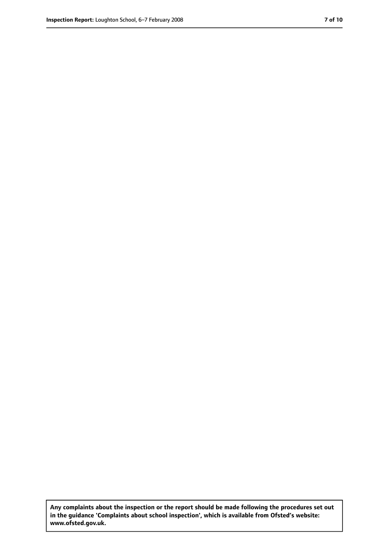**Any complaints about the inspection or the report should be made following the procedures set out in the guidance 'Complaints about school inspection', which is available from Ofsted's website: www.ofsted.gov.uk.**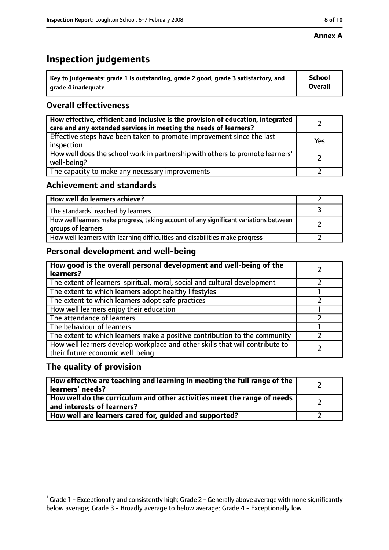#### **Annex A**

# **Inspection judgements**

| $^{\circ}$ Key to judgements: grade 1 is outstanding, grade 2 good, grade 3 satisfactory, and | <b>School</b>  |
|-----------------------------------------------------------------------------------------------|----------------|
| arade 4 inadeguate                                                                            | <b>Overall</b> |

## **Overall effectiveness**

| How effective, efficient and inclusive is the provision of education, integrated<br>care and any extended services in meeting the needs of learners? |     |
|------------------------------------------------------------------------------------------------------------------------------------------------------|-----|
| Effective steps have been taken to promote improvement since the last<br>inspection                                                                  | Yes |
| How well does the school work in partnership with others to promote learners'<br>well-being?                                                         |     |
| The capacity to make any necessary improvements                                                                                                      |     |

## **Achievement and standards**

| How well do learners achieve?                                                                               |  |
|-------------------------------------------------------------------------------------------------------------|--|
| The standards <sup>1</sup> reached by learners                                                              |  |
| How well learners make progress, taking account of any significant variations between<br>groups of learners |  |
| How well learners with learning difficulties and disabilities make progress                                 |  |

## **Personal development and well-being**

| How good is the overall personal development and well-being of the<br>learners?                                  |  |
|------------------------------------------------------------------------------------------------------------------|--|
| The extent of learners' spiritual, moral, social and cultural development                                        |  |
| The extent to which learners adopt healthy lifestyles                                                            |  |
| The extent to which learners adopt safe practices                                                                |  |
| How well learners enjoy their education                                                                          |  |
| The attendance of learners                                                                                       |  |
| The behaviour of learners                                                                                        |  |
| The extent to which learners make a positive contribution to the community                                       |  |
| How well learners develop workplace and other skills that will contribute to<br>their future economic well-being |  |

## **The quality of provision**

| How effective are teaching and learning in meeting the full range of the<br>learners' needs?                     |  |
|------------------------------------------------------------------------------------------------------------------|--|
| How well do the curriculum and other activities meet the range of needs<br>$^{\rm t}$ and interests of learners? |  |
| How well are learners cared for, guided and supported?                                                           |  |

 $^1$  Grade 1 - Exceptionally and consistently high; Grade 2 - Generally above average with none significantly below average; Grade 3 - Broadly average to below average; Grade 4 - Exceptionally low.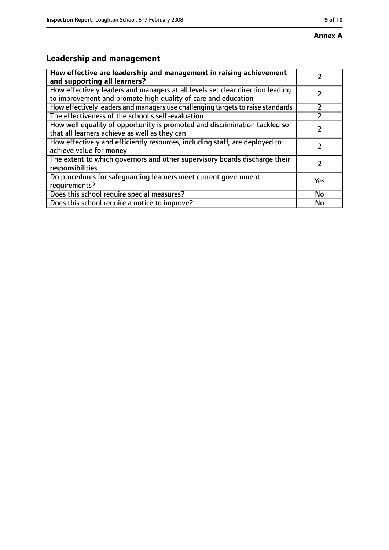# **Leadership and management**

| How effective are leadership and management in raising achievement<br>and supporting all learners?                                              |     |
|-------------------------------------------------------------------------------------------------------------------------------------------------|-----|
| How effectively leaders and managers at all levels set clear direction leading<br>to improvement and promote high quality of care and education |     |
| How effectively leaders and managers use challenging targets to raise standards                                                                 |     |
| The effectiveness of the school's self-evaluation                                                                                               |     |
| How well equality of opportunity is promoted and discrimination tackled so<br>that all learners achieve as well as they can                     |     |
| How effectively and efficiently resources, including staff, are deployed to<br>achieve value for money                                          |     |
| The extent to which governors and other supervisory boards discharge their<br>responsibilities                                                  |     |
| Do procedures for safequarding learners meet current government<br>requirements?                                                                | Yes |
| Does this school require special measures?                                                                                                      | No  |
| Does this school require a notice to improve?                                                                                                   | No  |